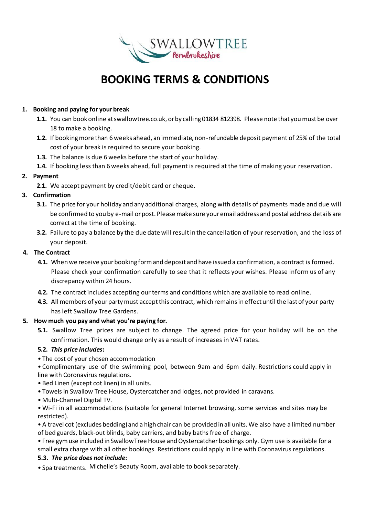

# **BOOKING TERMS & CONDITIONS**

# **1. Booking and paying for your break**

- **1.1.** You can book online at swallowtree.co.uk, or by calling 01834 812398. Please note that you must be over 18 to make a booking.
- **1.2.** If booking more than 6 weeks ahead, an immediate, non-refundable deposit payment of 25% of the total cost of your break is required to secure your booking.
- **1.3.** The balance is due 6 weeks before the start of your holiday.
- **1.4.** If booking less than 6 weeks ahead, full payment is required at the time of making your reservation.

# **2. Payment**

**2.1.** We accept payment by credit/debit card or cheque.

# **3. Confirmation**

- **3.1.** The price for your holiday and any additional charges, along with details of payments made and due will be confirmed to you by e-mail or post. Please make sure your email address and postal address details are correct at the time of booking.
- **3.2.** Failure to pay a balance by the due date will result in the cancellation of your reservation, and the loss of your deposit.

# **4. The Contract**

- **4.1.** When we receive your booking form and deposit and have issued a confirmation, a contract is formed. Please check your confirmation carefully to see that it reflects your wishes. Please inform us of any discrepancy within 24 hours.
- **4.2.** The contract includes accepting our terms and conditions which are available to read online.
- **4.3.** All members of your party must accept this contract, which remains in effect until the last of your party has left Swallow Tree Gardens.

### **5. How much you pay and what you're paying for.**

**5.1.** Swallow Tree prices are subject to change. The agreed price for your holiday will be on the confirmation. This would change only as a result of increases in VAT rates.

### **5.2.** *This price includes***:**

- The cost of your chosen accommodation
- Complimentary use of the swimming pool, between 9am and 6pm daily. Restrictions could apply in line with Coronavirus regulations.
- Bed Linen (except cot linen) in all units.
- Towels in Swallow Tree House, Oystercatcher and lodges, not provided in caravans.
- Multi-Channel Digital TV.

• Wi-Fi in all accommodations (suitable for general Internet browsing, some services and sites may be restricted).

• A travel cot (excludes bedding) and a high chair can be provided in all units. We also have a limited number of bed guards, black-out blinds, baby carriers, and baby baths free of charge.

• Free gym use included in Swallow Tree House and Oystercatcher bookings only. Gym use is available for a small extra charge with all other bookings. Restrictions could apply in line with Coronavirus regulations.

### **5.3.** *The price does not include***:**

• Spa treatments. Michelle's Beauty Room, available to book separately.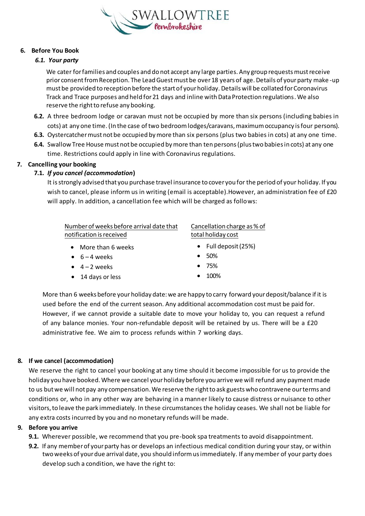

# **6. Before You Book**

# *6.1. Your party*

We cater for families and couples and do not accept any large parties. Any group requests must receive prior consent from Reception. The Lead Guest must be over 18 years of age. Details of your party make -up must be provided to reception before the start of your holiday. Details will be collated for Coronavirus Track and Trace purposes and held for 21 days and inline with Data Protection regulations. We also reserve the right to refuse any booking.

- **6.2.** A three bedroom lodge or caravan must not be occupied by more than six persons (including babies in cots) at any one time. (In the case of two bedroom lodges/caravans, maximum occupancy is four persons).
- **6.3.** Oystercatcher must not be occupied by more than six persons (plus two babies in cots) at any one time.
- **6.4.** Swallow Tree House must not be occupied by more than ten persons (plus two babies in cots) at any one time. Restrictions could apply in line with Coronavirus regulations.

# **7. Cancelling your booking**

# **7.1.** *If you cancel (accommodation***)**

It is strongly advised that you purchase travel insurance to cover you for the period of your holiday. If you wish to cancel, please inform us in writing (email is acceptable). However, an administration fee of £20 will apply. In addition, a cancellation fee which will be charged as follows:

| Number of weeks before arrival date that |
|------------------------------------------|
| notification is received                 |

- More than 6 weeks
- $\bullet$  6 4 weeks
- $\bullet$  4 2 weeks
- 14 days or less

## Cancellation charge as % of total holiday cost

- Full deposit (25%)
- 50%
- 75%
- 100%

More than 6 weeks before your holiday date: we are happy to carry forward your deposit/balance if it is used before the end of the current season. Any additional accommodation cost must be paid for. However, if we cannot provide a suitable date to move your holiday to, you can request a refund of any balance monies. Your non-refundable deposit will be retained by us. There will be a £20 administrative fee. We aim to process refunds within 7 working days.

### **8. If we cancel (accommodation)**

We reserve the right to cancel your booking at any time should it become impossible for us to provide the holiday you have booked. Where we cancel your holiday before you arrive we will refund any payment made to us but we will not pay any compensation. We reserve the right to ask guests who contravene our terms and conditions or, who in any other way are behaving in a manner likely to cause distress or nuisance to other visitors, to leave the park immediately. In these circumstances the holiday ceases. We shall not be liable for any extra costs incurred by you and no monetary refunds will be made.

### **9. Before you arrive**

- **9.1.** Wherever possible, we recommend that you pre-book spa treatments to avoid disappointment.
- **9.2.** If any member of your party has or develops an infectious medical condition during your stay, or within two weeks of your due arrival date, you should inform us immediately. If any member of your party does develop such a condition, we have the right to: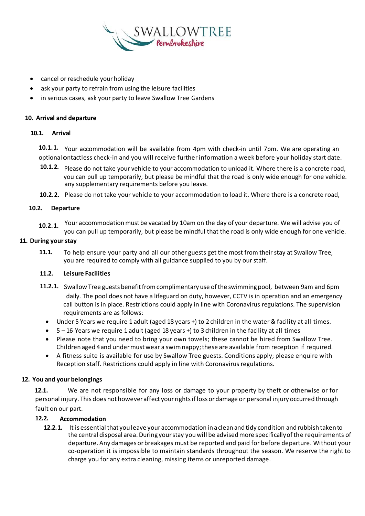

- cancel or reschedule your holiday
- ask your party to refrain from using the leisure facilities
- in serious cases, ask your party to leave Swallow Tree Gardens

### **10. Arrival and departure**

#### **10.1. Arrival**

**10.1.1.** Your accommodation will be available from 4pm with check-in until 7pm. We are operating an optional ontactless check-in and you will receive further information a week before your holiday start date.

- **10.1.2.** Please do not take your vehicle to your accommodation to unload it. Where there is a concrete road, you can pull up temporarily, but please be mindful that the road is only wide enough for one vehicle. any supplementary requirements before you leave.
- **10.2.2.** Please do not take your vehicle to your accommodation to load it. Where there is a concrete road,

#### **10.2. Departure**

**10.2.1.** Your accommodation must be vacated by 10am on the day of your departure. We will advise you of you can pull up temporarily, but please be mindful that the road is only wide enough for one vehicle.

#### **11. During your stay**

**11.1.** To help ensure your party and all our other guests get the most from their stay at Swallow Tree, you are required to comply with all guidance supplied to you by our staff.

#### **11.2. Leisure Facilities**

- **11.2.1.** Swallow Tree guests benefit from complimentary use of the swimming pool, between 9am and 6pm daily. The pool does not have a lifeguard on duty, however, CCTV is in operation and an emergency call button is in place. Restrictions could apply in line with Coronavirus regulations. The supervision requirements are as follows:
	- Under 5 Years we require 1 adult (aged 18 years +) to 2 children in the water & facility at all times.
	- 5 16 Years we require 1 adult (aged 18 years +) to 3 children in the facility at all times
	- Please note that you need to bring your own towels; these cannot be hired from Swallow Tree. Children aged 4 and under must wear a swim nappy; these are available from reception if required.
	- A fitness suite is available for use by Swallow Tree guests. Conditions apply; please enquire with Reception staff. Restrictions could apply in line with Coronavirus regulations.

#### **12. You and your belongings**

**12.1.** We are not responsible for any loss or damage to your property by theft or otherwise or for personal injury. This does not however affect your rights if loss or damage or personal injury occurred through fault on our part.

#### **12.2. Accommodation**

**12.2.1.** It is essential that you leave your accommodation in a clean and tidy condition and rubbish taken to the central disposal area. During your stay you will be advised more specifically of the requirements of departure. Any damages or breakages must be reported and paid for before departure. Without your co-operation it is impossible to maintain standards throughout the season. We reserve the right to charge you for any extra cleaning, missing items or unreported damage.